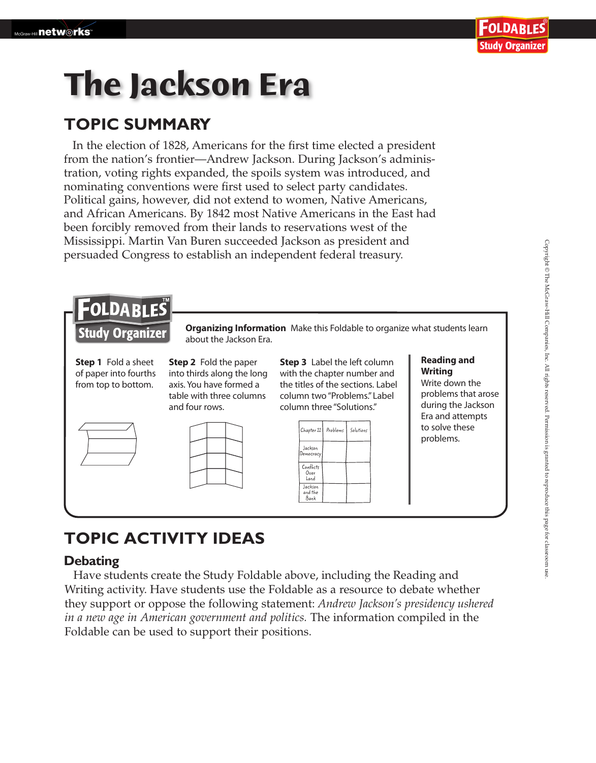# **The Jackson Era**

### **TOPIC SUMMARY**

In the election of 1828, Americans for the first time elected a president from the nation's frontier—Andrew Jackson. During Jackson's administration, voting rights expanded, the spoils system was introduced, and nominating conventions were first used to select party candidates. Political gains, however, did not extend to women, Native Americans, and African Americans. By 1842 most Native Americans in the East had been forcibly removed from their lands to reservations west of the Mississippi. Martin Van Buren succeeded Jackson as president and persuaded Congress to establish an independent federal treasury.



## **TOPIC ACTIVITY IDEAS**

#### **Debating**

 Have students create the Study Foldable above, including the Reading and Writing activity. Have students use the Foldable as a resource to debate whether they support or oppose the following statement: *Andrew Jackson's presidency ushered in a new age in American government and politics.* The information compiled in the Foldable can be used to support their positions.